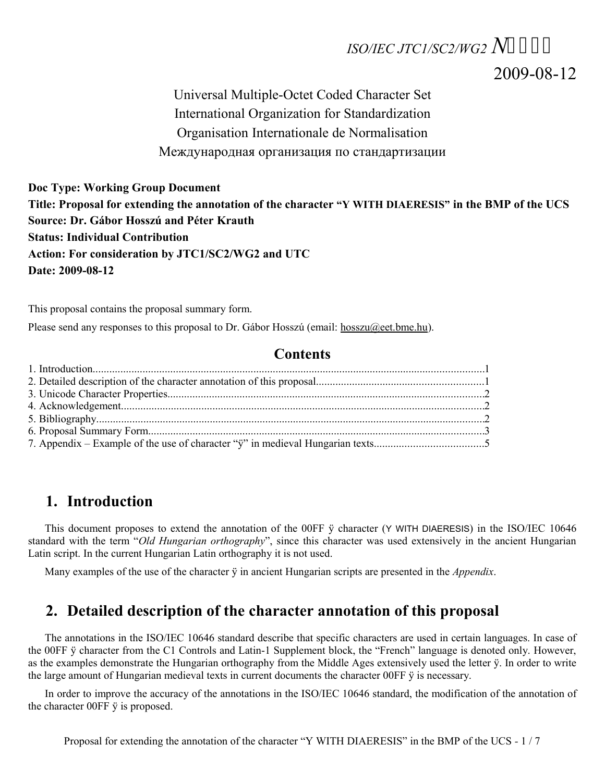# *ISO/IEC JTC1/SC2/WG2 N*

2009-08-12

Universal Multiple-Octet Coded Character Set International Organization for Standardization Organisation Internationale de Normalisation Международная организация по стандартизации

**Doc Type: Working Group Document Title: Proposal for extending the annotation of the character "Y WITH DIAERESIS" in the BMP of the UCS Source: Dr. Gábor Hosszú and Péter Krauth Status: Individual Contribution Action: For consideration by JTC1/SC2/WG2 and UTC Date: 2009-08-12**

This proposal contains the proposal summary form.

Please send any responses to this proposal to Dr. Gábor Hosszú (email: [hosszu@eet.bme.hu\)](mailto:hosszu@eet.bme.hu).

#### **Contents**

#### **1. Introduction**

This document proposes to extend the annotation of the 00FF ÿ character (Y WITH DIAERESIS) in the ISO/IEC 10646 standard with the term "*Old Hungarian orthography*", since this character was used extensively in the ancient Hungarian Latin script. In the current Hungarian Latin orthography it is not used.

Many examples of the use of the character ÿ in ancient Hungarian scripts are presented in the *Appendix*.

#### **2. Detailed description of the character annotation of this proposal**

The annotations in the ISO/IEC 10646 standard describe that specific characters are used in certain languages. In case of the 00FF ÿ character from the C1 Controls and Latin-1 Supplement block, the "French" language is denoted only. However, as the examples demonstrate the Hungarian orthography from the Middle Ages extensively used the letter ÿ. In order to write the large amount of Hungarian medieval texts in current documents the character 00FF  $\ddot{y}$  is necessary.

In order to improve the accuracy of the annotations in the ISO/IEC 10646 standard, the modification of the annotation of the character 00FF ÿ is proposed.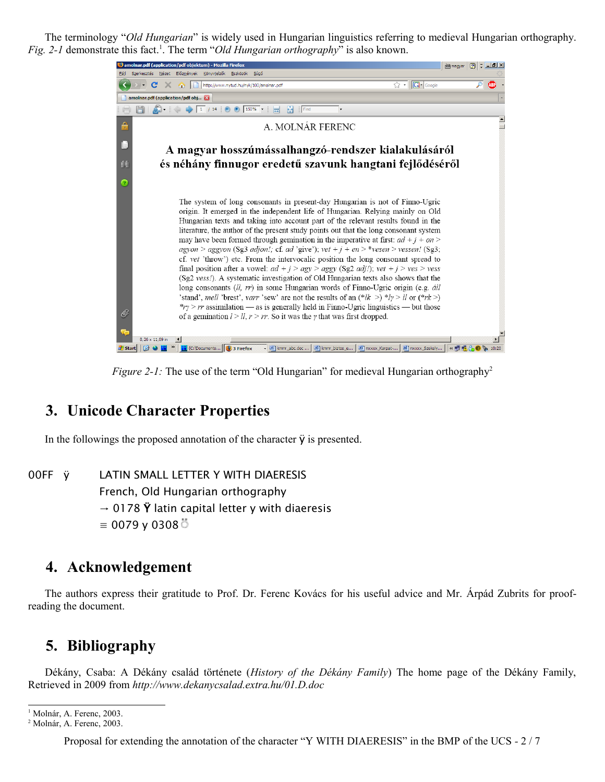The terminology "*Old Hungarian*" is widely used in Hungarian linguistics referring to medieval Hungarian orthography. Fig. 2-[1](#page-1-0) demonstrate this fact.<sup>1</sup>. The term "*Old Hungarian orthography*" is also known.



*Figure [2](#page-1-1)-1:* The use of the term "Old Hungarian" for medieval Hungarian orthography<sup>2</sup>

## **3. Unicode Character Properties**

In the followings the proposed annotation of the character  $\ddot{y}$  is presented.

00FF ÿ LATIN SMALL LETTER Y WITH DIAERESIS French, Old Hungarian orthography  $\rightarrow$  0178  $\ddot{Y}$  latin capital letter y with diaeresis  $\equiv$  0079 y 0308 ੌਂ

#### **4. Acknowledgement**

The authors express their gratitude to Prof. Dr. Ferenc Kovács for his useful advice and Mr. Árpád Zubrits for proofreading the document.

## **5. Bibliography**

Dékány, Csaba: A Dékány család története (*History of the Dékány Family*) The home page of the Dékány Family, Retrieved in 2009 from *http://www.dekanycsalad.extra.hu/01.D.doc*

Proposal for extending the annotation of the character "Y WITH DIAERESIS" in the BMP of the UCS *-* 2 / 7

<span id="page-1-0"></span><sup>&</sup>lt;sup>1</sup> Molnár, A. Ferenc, 2003.

<span id="page-1-1"></span><sup>2</sup> Molnár, A. Ferenc, 2003.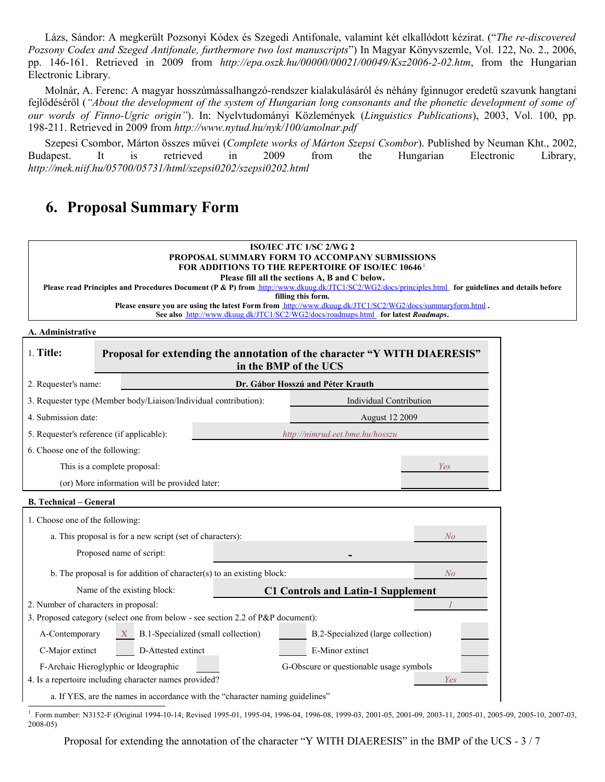Lázs, Sándor: A megkerült Pozsonyi Kódex és Szegedi Antifonale, valamint két elkallódott kézirat. ("*The re-discovered Pozsony Codex and Szeged Antifonale, furthermore two lost manuscripts*") In Magyar Könyvszemle, Vol. 122, No. 2., 2006, pp. 146-161. Retrieved in 2009 from *http://epa.oszk.hu/00000/00021/00049/Ksz2006-2-02.htm*, from the Hungarian Electronic Library.

Molnár, A. Ferenc: A magyar hosszúmássalhangzó-rendszer kialakulásáról és néhány fginnugor eredetű szavunk hangtani fejlődéséről (*"About the development of the system of Hungarian long consonants and the phonetic development of some of our words of Finno-Ugric origin"*). In: Nyelvtudományi Közlemények (*Linguistics Publications*), 2003, Vol. 100, pp. 198-211. Retrieved in 2009 from *http://www.nytud.hu/nyk/100/amolnar.pdf*

Szepesi Csombor, Márton összes művei (*Complete works of Márton Szepsi Csombor*). Published by Neuman Kht., 2002, Budapest. It is retrieved in 2009 from the Hungarian Electronic Library, *http://mek.niif.hu/05700/05731/html/szepsi0202/szepsi0202.html*

# **6. Proposal Summary Form**

| ISO/IEC JTC 1/SC 2/WG 2<br>PROPOSAL SUMMARY FORM TO ACCOMPANY SUBMISSIONS<br><b>FOR ADDITIONS TO THE REPERTOIRE OF ISO/IEC 10646.</b><br>Please fill all the sections A, B and C below.<br>Please read Principles and Procedures Document (P & P) from http://www.dkuug.dk/JTC1/SC2/WG2/docs/principles.html _- for guidelines and details before<br>filling this form.<br>Please ensure you are using the latest Form from http://www.dkuug.dk/JTC1/SC2/WG2/docs/summaryform.html<br>See also http://www.dkuug.dk/JTC1/SC2/WG2/docs/roadmaps.html for latest Roadmaps. |                                                                                                    |  |  |  |
|-------------------------------------------------------------------------------------------------------------------------------------------------------------------------------------------------------------------------------------------------------------------------------------------------------------------------------------------------------------------------------------------------------------------------------------------------------------------------------------------------------------------------------------------------------------------------|----------------------------------------------------------------------------------------------------|--|--|--|
| A. Administrative                                                                                                                                                                                                                                                                                                                                                                                                                                                                                                                                                       |                                                                                                    |  |  |  |
| 1. Title:                                                                                                                                                                                                                                                                                                                                                                                                                                                                                                                                                               | Proposal for extending the annotation of the character "Y WITH DIAERESIS"<br>in the BMP of the UCS |  |  |  |
| 2. Requester's name:                                                                                                                                                                                                                                                                                                                                                                                                                                                                                                                                                    | Dr. Gábor Hosszú and Péter Krauth                                                                  |  |  |  |
| 3. Requester type (Member body/Liaison/Individual contribution):                                                                                                                                                                                                                                                                                                                                                                                                                                                                                                        | <b>Individual Contribution</b>                                                                     |  |  |  |
| 4. Submission date:                                                                                                                                                                                                                                                                                                                                                                                                                                                                                                                                                     | <b>August 12 2009</b>                                                                              |  |  |  |
| 5. Requester's reference (if applicable):                                                                                                                                                                                                                                                                                                                                                                                                                                                                                                                               | http://nimrud.eet.bme.hu/hosszu                                                                    |  |  |  |
| 6. Choose one of the following:                                                                                                                                                                                                                                                                                                                                                                                                                                                                                                                                         |                                                                                                    |  |  |  |
| This is a complete proposal:                                                                                                                                                                                                                                                                                                                                                                                                                                                                                                                                            | Yes                                                                                                |  |  |  |
| (or) More information will be provided later:                                                                                                                                                                                                                                                                                                                                                                                                                                                                                                                           |                                                                                                    |  |  |  |
| <b>B.</b> Technical – General                                                                                                                                                                                                                                                                                                                                                                                                                                                                                                                                           |                                                                                                    |  |  |  |
| 1. Choose one of the following:                                                                                                                                                                                                                                                                                                                                                                                                                                                                                                                                         |                                                                                                    |  |  |  |
| a. This proposal is for a new script (set of characters):                                                                                                                                                                                                                                                                                                                                                                                                                                                                                                               | No                                                                                                 |  |  |  |
| Proposed name of script:                                                                                                                                                                                                                                                                                                                                                                                                                                                                                                                                                |                                                                                                    |  |  |  |
| b. The proposal is for addition of character(s) to an existing block:                                                                                                                                                                                                                                                                                                                                                                                                                                                                                                   | N <sub>O</sub>                                                                                     |  |  |  |
| Name of the existing block:                                                                                                                                                                                                                                                                                                                                                                                                                                                                                                                                             | <b>C1 Controls and Latin-1 Supplement</b>                                                          |  |  |  |
| 2. Number of characters in proposal:                                                                                                                                                                                                                                                                                                                                                                                                                                                                                                                                    |                                                                                                    |  |  |  |
| 3. Proposed category (select one from below - see section 2.2 of P&P document):                                                                                                                                                                                                                                                                                                                                                                                                                                                                                         |                                                                                                    |  |  |  |

| A-Contemporary  | $X$ B.1-Specialized (small collection) | B.2-Specialized (large collection) |  |
|-----------------|----------------------------------------|------------------------------------|--|
| C-Major extinct | D-Attested extinct                     | E-Minor extinct                    |  |

F-Archaic Hieroglyphic or Ideographic G-Obscure or questionable usage symbols 4. Is a repertoire including character names provided?

a. If YES, are the names in accordance with the "character naming guidelines"

Proposal for extending the annotation of the character "Y WITH DIAERESIS" in the BMP of the UCS *-* 3 / 7

<span id="page-2-0"></span>From number: N3152-F (Original 1994-10-14; Revised 1995-01, 1995-04, 1996-04, 1996-08, 1999-03, 2001-05, 2001-09, 2003-11, 2005-01, 2005-09, 2005-10, 2007-03, 2008-05)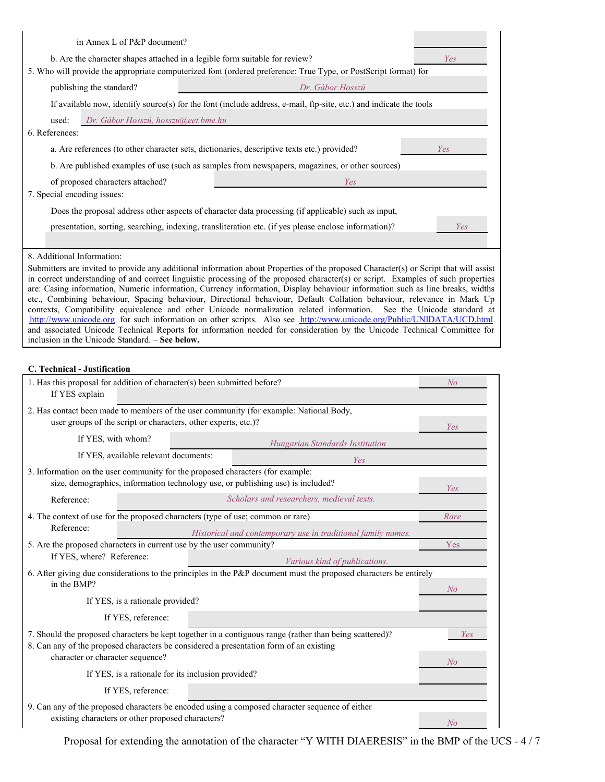| b. Are the character shapes attached in a legible form suitable for review?<br>Yes<br>5. Who will provide the appropriate computerized font (ordered preference: True Type, or PostScript format) for<br>publishing the standard?<br>Dr. Gábor Hosszú<br>If available now, identify source(s) for the font (include address, e-mail, ftp-site, etc.) and indicate the tools                                                                                                                                                                                                                                                                                                                                                                                                                                                                                                                                                                                                                          |  |  |  |  |  |
|------------------------------------------------------------------------------------------------------------------------------------------------------------------------------------------------------------------------------------------------------------------------------------------------------------------------------------------------------------------------------------------------------------------------------------------------------------------------------------------------------------------------------------------------------------------------------------------------------------------------------------------------------------------------------------------------------------------------------------------------------------------------------------------------------------------------------------------------------------------------------------------------------------------------------------------------------------------------------------------------------|--|--|--|--|--|
|                                                                                                                                                                                                                                                                                                                                                                                                                                                                                                                                                                                                                                                                                                                                                                                                                                                                                                                                                                                                      |  |  |  |  |  |
|                                                                                                                                                                                                                                                                                                                                                                                                                                                                                                                                                                                                                                                                                                                                                                                                                                                                                                                                                                                                      |  |  |  |  |  |
|                                                                                                                                                                                                                                                                                                                                                                                                                                                                                                                                                                                                                                                                                                                                                                                                                                                                                                                                                                                                      |  |  |  |  |  |
| used:<br>Dr. Gábor Hosszú, hosszu@eet.bme.hu                                                                                                                                                                                                                                                                                                                                                                                                                                                                                                                                                                                                                                                                                                                                                                                                                                                                                                                                                         |  |  |  |  |  |
| 6. References:                                                                                                                                                                                                                                                                                                                                                                                                                                                                                                                                                                                                                                                                                                                                                                                                                                                                                                                                                                                       |  |  |  |  |  |
| a. Are references (to other character sets, dictionaries, descriptive texts etc.) provided?<br>Yes                                                                                                                                                                                                                                                                                                                                                                                                                                                                                                                                                                                                                                                                                                                                                                                                                                                                                                   |  |  |  |  |  |
| b. Are published examples of use (such as samples from newspapers, magazines, or other sources)                                                                                                                                                                                                                                                                                                                                                                                                                                                                                                                                                                                                                                                                                                                                                                                                                                                                                                      |  |  |  |  |  |
| of proposed characters attached?<br>Yes                                                                                                                                                                                                                                                                                                                                                                                                                                                                                                                                                                                                                                                                                                                                                                                                                                                                                                                                                              |  |  |  |  |  |
| 7. Special encoding issues:                                                                                                                                                                                                                                                                                                                                                                                                                                                                                                                                                                                                                                                                                                                                                                                                                                                                                                                                                                          |  |  |  |  |  |
| Does the proposal address other aspects of character data processing (if applicable) such as input,                                                                                                                                                                                                                                                                                                                                                                                                                                                                                                                                                                                                                                                                                                                                                                                                                                                                                                  |  |  |  |  |  |
| presentation, sorting, searching, indexing, transliteration etc. (if yes please enclose information)?<br>Yes                                                                                                                                                                                                                                                                                                                                                                                                                                                                                                                                                                                                                                                                                                                                                                                                                                                                                         |  |  |  |  |  |
|                                                                                                                                                                                                                                                                                                                                                                                                                                                                                                                                                                                                                                                                                                                                                                                                                                                                                                                                                                                                      |  |  |  |  |  |
| 8. Additional Information:<br>Submitters are invited to provide any additional information about Properties of the proposed Character(s) or Script that will assist<br>in correct understanding of and correct linguistic processing of the proposed character(s) or script. Examples of such properties<br>are: Casing information, Numeric information, Currency information, Display behaviour information such as line breaks, widths<br>etc., Combining behaviour, Spacing behaviour, Directional behaviour, Default Collation behaviour, relevance in Mark Up<br>contexts, Compatibility equivalence and other Unicode normalization related information. See the Unicode standard at<br>http://www.unicode.org. for such information on other scripts. Also see http://www.unicode.org/Public/UNIDATA/UCD.html<br>and associated Unicode Technical Reports for information needed for consideration by the Unicode Technical Committee for<br>inclusion in the Unicode Standard. – See below. |  |  |  |  |  |

#### **C. Technical - Justification**

| 1. Has this proposal for addition of character(s) been submitted before?<br>If YES explain                                                                                                                                                   |  |                                                                                                                   | N <sub>O</sub> |  |  |
|----------------------------------------------------------------------------------------------------------------------------------------------------------------------------------------------------------------------------------------------|--|-------------------------------------------------------------------------------------------------------------------|----------------|--|--|
| 2. Has contact been made to members of the user community (for example: National Body,<br>user groups of the script or characters, other experts, etc.)?<br>Yes                                                                              |  |                                                                                                                   |                |  |  |
| If YES, with whom?                                                                                                                                                                                                                           |  | Hungarian Standards Institution                                                                                   |                |  |  |
| If YES, available relevant documents:                                                                                                                                                                                                        |  | Yes                                                                                                               |                |  |  |
| 3. Information on the user community for the proposed characters (for example:<br>size, demographics, information technology use, or publishing use) is included?<br>Yes                                                                     |  |                                                                                                                   |                |  |  |
| Reference:                                                                                                                                                                                                                                   |  | Scholars and researchers, medieval texts.                                                                         |                |  |  |
| 4. The context of use for the proposed characters (type of use; common or rare)<br>Reference:                                                                                                                                                |  | Historical and contemporary use in traditional family names.                                                      | Rare           |  |  |
| 5. Are the proposed characters in current use by the user community?                                                                                                                                                                         |  |                                                                                                                   | Yes            |  |  |
| If YES, where? Reference:                                                                                                                                                                                                                    |  | Various kind of publications.                                                                                     |                |  |  |
| in the BMP?                                                                                                                                                                                                                                  |  | 6. After giving due considerations to the principles in the P&P document must the proposed characters be entirely | No             |  |  |
| If YES, is a rationale provided?                                                                                                                                                                                                             |  |                                                                                                                   |                |  |  |
| If YES, reference:                                                                                                                                                                                                                           |  |                                                                                                                   |                |  |  |
| 7. Should the proposed characters be kept together in a contiguous range (rather than being scattered)?<br>Yes<br>8. Can any of the proposed characters be considered a presentation form of an existing<br>character or character sequence? |  |                                                                                                                   |                |  |  |
| If YES, is a rationale for its inclusion provided?                                                                                                                                                                                           |  |                                                                                                                   | N <sub>O</sub> |  |  |
| If YES, reference:                                                                                                                                                                                                                           |  |                                                                                                                   |                |  |  |
| existing characters or other proposed characters?                                                                                                                                                                                            |  | 9. Can any of the proposed characters be encoded using a composed character sequence of either                    | N <sub>o</sub> |  |  |

Proposal for extending the annotation of the character "Y WITH DIAERESIS" in the BMP of the UCS *-* 4 / 7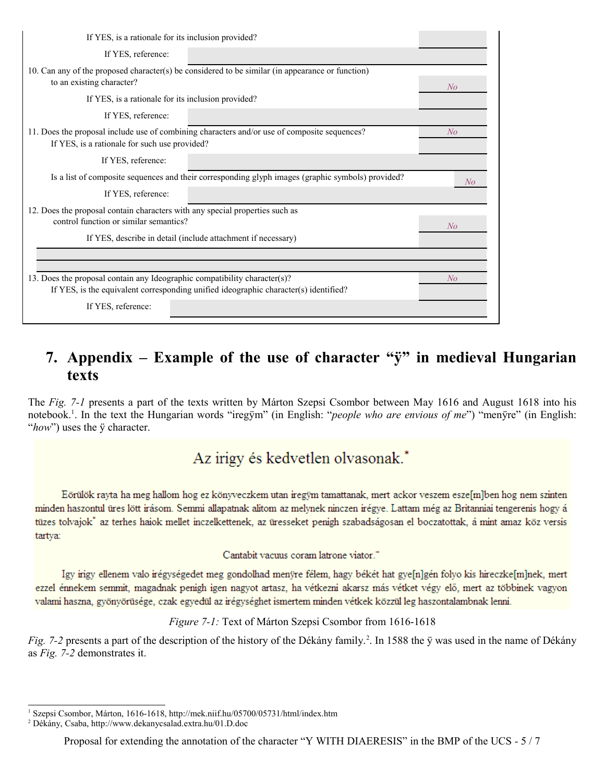| If YES, is a rationale for its inclusion provided?                                                                                            |    |
|-----------------------------------------------------------------------------------------------------------------------------------------------|----|
| If YES, reference:                                                                                                                            |    |
| 10. Can any of the proposed character(s) be considered to be similar (in appearance or function)<br>to an existing character?                 | No |
| If YES, is a rationale for its inclusion provided?                                                                                            |    |
| If YES, reference:                                                                                                                            |    |
| 11. Does the proposal include use of combining characters and/or use of composite sequences?<br>If YES, is a rationale for such use provided? | No |
| If YES, reference:                                                                                                                            |    |
| Is a list of composite sequences and their corresponding glyph images (graphic symbols) provided?                                             | No |
| If YES, reference:                                                                                                                            |    |
| 12. Does the proposal contain characters with any special properties such as<br>control function or similar semantics?                        | No |
| If YES, describe in detail (include attachment if necessary)                                                                                  |    |
|                                                                                                                                               |    |
| 13. Does the proposal contain any Ideographic compatibility character(s)?                                                                     | No |
| If YES, is the equivalent corresponding unified ideographic character(s) identified?                                                          |    |
| If YES, reference:                                                                                                                            |    |

# **7. Appendix – Example of the use of character "ÿ" in medieval Hungarian texts**

The *Fig. 7-1* presents a part of the texts written by Márton Szepsi Csombor between May 1616 and August 1618 into his notebook.[1](#page-4-0) . In the text the Hungarian words "iregÿm" (in English: "*people who are envious of me*") "menÿre" (in English: "how") uses the *ÿ* character.

# Az irigy és kedvetlen olvasonak.\*

Eörülök rayta ha meg hallom hog ez könyveczkem utan iregym tamattanak, mert ackor veszem esze[m]ben hog nem szinten minden haszontul üres lött irásom. Semmi allapatnak alitom az melynek ninczen irégye. Lattam még az Britanniai tengerenis hogy á tüzes tolvajok<sup>\*</sup> az terhes haiok mellet inczelkettenek, az üresseket penigh szabadságosan el boczatottak, á mint amaz köz versis tartya:

Cantabit vacuus coram latrone viator.<sup>+</sup>

Igy irigy ellenem valo irégységedet meg gondolhad menyre félem, hagy békét hat gye[n]gén folyo kis hireczke[m]nek, mert ezzel énnekem semmit, magadnak penigh igen nagyot artasz, ha vétkezni akarsz más vétket végy elő, mert az többinek vagyon valami haszna, gyönyörüsége, czak egyedül az irégységhet ismertem minden vétkek közzül leg haszontalambnak lenni.

*Figure 7-1:* Text of Márton Szepsi Csombor from 1616-1618

*Fig.* 7-[2](#page-4-1) presents a part of the description of the history of the Dékány family.<sup>2</sup>. In 1588 the ÿ was used in the name of Dékány as *Fig. 7-2* demonstrates it.

Proposal for extending the annotation of the character "Y WITH DIAERESIS" in the BMP of the UCS *-* 5 / 7

<span id="page-4-0"></span><sup>&</sup>lt;sup>1</sup> Szepsi Csombor, Márton, 1616-1618, http://mek.niif.hu/05700/05731/html/index.htm

<span id="page-4-1"></span><sup>2</sup> Dékány, Csaba, http://www.dekanycsalad.extra.hu/01.D.doc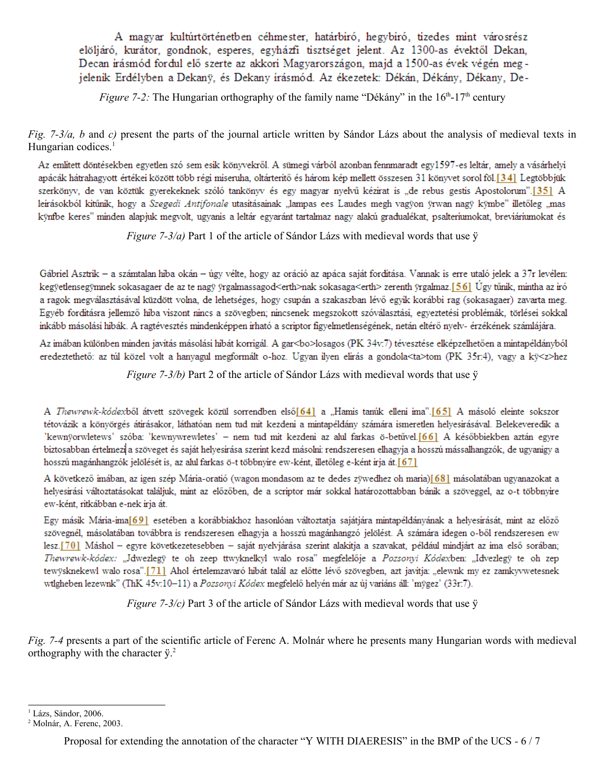A magyar kultúrtörténetben céhmester, határbíró, hegybíró, tizedes mint városrész elöljáró, kurátor, gondnok, esperes, egyházfi tisztséget jelent. Az 1300-as évektől Dekan, Decan irásmód fordul elő szerte az akkori Magyarországon, majd a 1500-as évek végén megjelenik Erdélyben a Dekaný, és Dekany irásmód. Az ékezetek: Dékán, Dékány, Dékany, De-

*Figure 7-2:* The Hungarian orthography of the family name "Dékány" in the  $16<sup>th</sup>$ -17<sup>th</sup> century

*Fig. 7-3/a, b* and *c*) present the parts of the journal article written by Sándor Lázs about the analysis of medieval texts in Hungarian codices.<sup>[1](#page-5-0)</sup>

Az említett döntésekben egyetlen szó sem esik könyvekről. A sümegi várból azonban fennmaradt egy1597-es leltár, amely a vásárhelyi apácák hátrahagyott értékei között több régi miseruha, oltárteritő és három kép mellett összesen 31 könyvet sorol föl.[34] Legtöbbjük szerkönyv, de van köztük gyerekeknek szóló tankönyv és egy magyar nyelvű kézirat is "de rebus gestis Apostolorum".[35] A leirásokból kitűnik, hogy a Szegedi Antifonale utasitásainak "lampas ees Laudes megh vagyon yrwan nagy kymbe" illetőleg "mas kÿnfbe keres" minden alapjuk megvolt, ugyanis a leltár egyaránt tartalmaz nagy alakú gradualékat, psalteriumokat, breviáriumokat és

*Figure 7-3/a)* Part 1 of the article of Sándor Lázs with medieval words that use  $\ddot{y}$ 

Gábriel Asztrik – a számtalan hiba okán – úgy vélte, hogy az oráció az apáca saját fordítása. Vannak is erre utaló jelek a 37r levélen: kegyetlensegymnek sokasagaer de az te nagy yrgalmassagod<erth>nak sokasaga<erth> zerenth yrgalmaz.[56] Úgy tűnik, mintha az iró a ragok megválasztásával küzdött volna, de lehetséges, hogy csupán a szakaszban lévő egyik korábbi rag (sokasagaer) zavarta meg. Egyéb fordításra jellemző hiba viszont nincs a szövegben; nincsenek megszokott szóválasztási, egyeztetési problémák, törlései sokkal inkább másolási hibák. A ragtévesztés mindenképpen irható a scriptor figyelmetlenségének, netán eltérő nyelv- érzékének számlájára.

Az imában különben minden javitás másolási hibát korrigál. A gar<bo>losagos (PK 34v:7) tévesztése elképzelhetően a mintapéldányból eredeztethető: az túl közel volt a hanyagul megformált o-hoz. Ugyan ilyen elírás a gondola<ta>tom (PK 35r:4), vagy a kÿ<z>hez

*Figure 7-3/b)* Part 2 of the article of Sándor Lázs with medieval words that use  $\ddot{y}$ 

A Thewrewk-kódexből átvett szövegek közül sorrendben első[64] a "Hamis tanúk elleni ima".[65] A másoló eleinte sokszor tétovázik a könyörgés átirásakor, láthatóan nem tud mit kezdeni a mintapéldány számára ismeretlen helyesirásával. Belekeveredik a kewnÿorwletews' szóba: 'kewnywrewletes' - nem tud mit kezdeni az alul farkas ö-betűvel.[66] A későbbiekben aztán egyre biztosabban értelmezi a szöveget és saját helyesirása szerint kezd másolni: rendszeresen elhagyja a hosszú mássalhangzók, de ugyanigy a hosszú magánhangzók jelölését is, az alul farkas ö-t többnyire ew-ként, illetőleg e-ként irja át. [67]

A következő imában, az igen szép Mária-oratió (wagon mondasom az te dedes zÿwedhez oh maria)[68] másolatában ugyanazokat a helyesirási változtatásokat találjuk, mint az előzőben, de a scriptor már sokkal határozottabban bánik a szöveggel, az o-t többnyire ew-ként, ritkábban e-nek írja át.

Egy másik Mária-ima[69] esetében a korábbiakhoz hasonlóan változtatja sajátjára mintapéldányának a helyesirását, mint az előző szövegnél, másolatában továbbra is rendszeresen elhagyja a hosszú magánhangzó jelölést. A számára idegen o-ből rendszeresen ew lesz.[70] Máshol - egyre következetesebben - saját nyelvjárása szerint alakítja a szavakat, például mindjárt az ima első sorában; Thewrewk-kódex: "Jdwezlegy te oh zeep ttwyknelkyl walo rosa" megfelelője a Pozsonyi Kódexben: "Idvezlegy te oh zep tewÿsknekewl walo rosa".[71] Ahol értelemzavaró hibát talál az előtte lévő szövegben, azt javitja: "elewnk my ez zamkyvwetesnek wtlgheben lezewnk" (ThK 45v:10-11) a Pozsonyi Kódex megfelelő helyén már az új variáns áll: 'mÿgez' (33r.7).

*Figure 7-3/c)* Part 3 of the article of Sándor Lázs with medieval words that use  $\ddot{y}$ 

*Fig. 7-4* presents a part of the scientific article of Ferenc A. Molnár where he presents many Hungarian words with medieval orthography with the character ÿ. [2](#page-5-1)

<span id="page-5-0"></span><sup>&</sup>lt;sup>1</sup> Lázs, Sándor, 2006.

<span id="page-5-1"></span><sup>2</sup> Molnár, A. Ferenc, 2003.